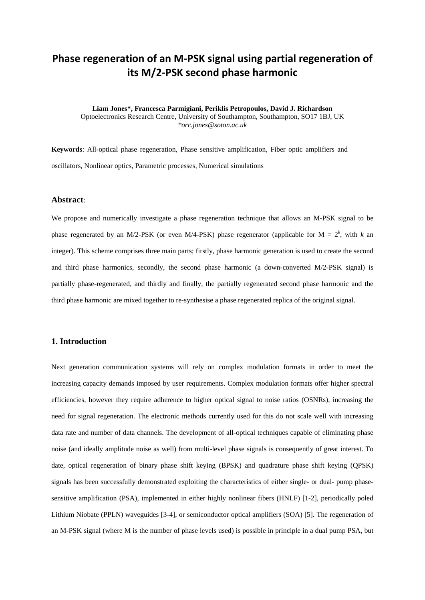# **Phase regeneration of an M-PSK signal using partial regeneration of its M/2-PSK second phase harmonic**

**Liam Jones\*, Francesca Parmigiani, Periklis Petropoulos, David J. Richardson** Optoelectronics Research Centre, University of Southampton, Southampton, SO17 1BJ, UK *\*orc.jones@soton.ac.uk*

**Keywords**: All-optical phase regeneration, Phase sensitive amplification, Fiber optic amplifiers and oscillators, Nonlinear optics, Parametric processes, Numerical simulations

#### **Abstract**:

We propose and numerically investigate a phase regeneration technique that allows an M-PSK signal to be phase regenerated by an M/2-PSK (or even M/4-PSK) phase regenerator (applicable for  $M = 2<sup>k</sup>$ , with *k* an integer). This scheme comprises three main parts; firstly, phase harmonic generation is used to create the second and third phase harmonics, secondly, the second phase harmonic (a down-converted M/2-PSK signal) is partially phase-regenerated, and thirdly and finally, the partially regenerated second phase harmonic and the third phase harmonic are mixed together to re-synthesise a phase regenerated replica of the original signal.

## **1. Introduction**

Next generation communication systems will rely on complex modulation formats in order to meet the increasing capacity demands imposed by user requirements. Complex modulation formats offer higher spectral efficiencies, however they require adherence to higher optical signal to noise ratios (OSNRs), increasing the need for signal regeneration. The electronic methods currently used for this do not scale well with increasing data rate and number of data channels. The development of all-optical techniques capable of eliminating phase noise (and ideally amplitude noise as well) from multi-level phase signals is consequently of great interest. To date, optical regeneration of binary phase shift keying (BPSK) and quadrature phase shift keying (QPSK) signals has been successfully demonstrated exploiting the characteristics of either single- or dual- pump phasesensitive amplification (PSA), implemented in either highly nonlinear fibers (HNLF) [1-2], periodically poled Lithium Niobate (PPLN) waveguides [3-4], or semiconductor optical amplifiers (SOA) [5]. The regeneration of an M-PSK signal (where M is the number of phase levels used) is possible in principle in a dual pump PSA, but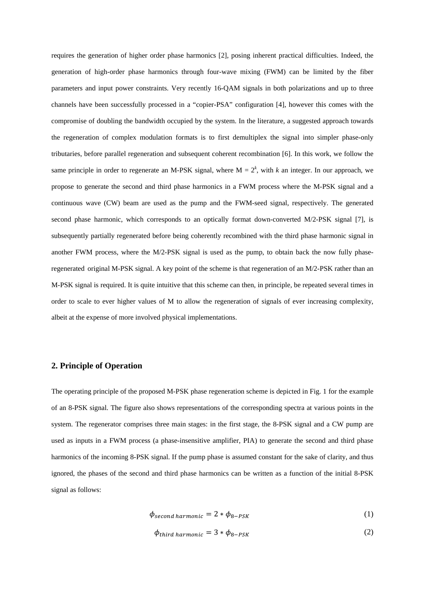requires the generation of higher order phase harmonics [2], posing inherent practical difficulties. Indeed, the generation of high-order phase harmonics through four-wave mixing (FWM) can be limited by the fiber parameters and input power constraints. Very recently 16-QAM signals in both polarizations and up to three channels have been successfully processed in a "copier-PSA" configuration [4], however this comes with the compromise of doubling the bandwidth occupied by the system. In the literature, a suggested approach towards the regeneration of complex modulation formats is to first demultiplex the signal into simpler phase-only tributaries, before parallel regeneration and subsequent coherent recombination [6]. In this work, we follow the same principle in order to regenerate an M-PSK signal, where  $M = 2<sup>k</sup>$ , with *k* an integer. In our approach, we propose to generate the second and third phase harmonics in a FWM process where the M-PSK signal and a continuous wave (CW) beam are used as the pump and the FWM-seed signal, respectively. The generated second phase harmonic, which corresponds to an optically format down-converted M/2-PSK signal [7], is subsequently partially regenerated before being coherently recombined with the third phase harmonic signal in another FWM process, where the M/2-PSK signal is used as the pump, to obtain back the now fully phaseregenerated original M-PSK signal. A key point of the scheme is that regeneration of an M/2-PSK rather than an M-PSK signal is required. It is quite intuitive that this scheme can then, in principle, be repeated several times in order to scale to ever higher values of M to allow the regeneration of signals of ever increasing complexity, albeit at the expense of more involved physical implementations.

# **2. Principle of Operation**

The operating principle of the proposed M-PSK phase regeneration scheme is depicted in Fig. 1 for the example of an 8-PSK signal. The figure also shows representations of the corresponding spectra at various points in the system. The regenerator comprises three main stages: in the first stage, the 8-PSK signal and a CW pump are used as inputs in a FWM process (a phase-insensitive amplifier, PIA) to generate the second and third phase harmonics of the incoming 8-PSK signal. If the pump phase is assumed constant for the sake of clarity, and thus ignored, the phases of the second and third phase harmonics can be written as a function of the initial 8-PSK signal as follows:

$$
\phi_{second harmonic} = 2 * \phi_{8-PSK}
$$
 (1)

$$
\phi_{third\ harmonic} = 3 * \phi_{8-PSK} \tag{2}
$$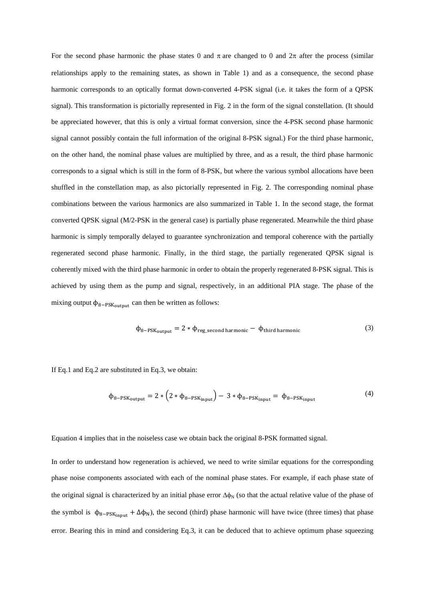For the second phase harmonic the phase states 0 and  $\pi$  are changed to 0 and  $2\pi$  after the process (similar relationships apply to the remaining states, as shown in Table 1) and as a consequence, the second phase harmonic corresponds to an optically format down-converted 4-PSK signal (i.e. it takes the form of a QPSK signal). This transformation is pictorially represented in Fig. 2 in the form of the signal constellation. (It should be appreciated however, that this is only a virtual format conversion, since the 4-PSK second phase harmonic signal cannot possibly contain the full information of the original 8-PSK signal.) For the third phase harmonic, on the other hand, the nominal phase values are multiplied by three, and as a result, the third phase harmonic corresponds to a signal which is still in the form of 8-PSK, but where the various symbol allocations have been shuffled in the constellation map, as also pictorially represented in Fig. 2. The corresponding nominal phase combinations between the various harmonics are also summarized in Table 1. In the second stage, the format converted QPSK signal (M/2-PSK in the general case) is partially phase regenerated. Meanwhile the third phase harmonic is simply temporally delayed to guarantee synchronization and temporal coherence with the partially regenerated second phase harmonic. Finally, in the third stage, the partially regenerated QPSK signal is coherently mixed with the third phase harmonic in order to obtain the properly regenerated 8-PSK signal. This is achieved by using them as the pump and signal, respectively, in an additional PIA stage. The phase of the mixing output  $\phi_{8-PSK_{\text{output}}}$  can then be written as follows:

$$
\Phi_{8-PSK_{\text{output}}} = 2 * \Phi_{\text{reg\_second harmonic}} - \Phi_{\text{third harmonic}} \tag{3}
$$

If Eq.1 and Eq.2 are substituted in Eq.3, we obtain:

$$
\phi_{8-PSK_{\text{output}}} = 2 * \left( 2 * \phi_{8-PSK_{\text{input}}} \right) - 3 * \phi_{8-PSK_{\text{input}}} = \phi_{8-PSK_{\text{input}}} \tag{4}
$$

Equation 4 implies that in the noiseless case we obtain back the original 8-PSK formatted signal.

In order to understand how regeneration is achieved, we need to write similar equations for the corresponding phase noise components associated with each of the nominal phase states. For example, if each phase state of the original signal is characterized by an initial phase error  $\Delta\phi_N$  (so that the actual relative value of the phase of the symbol is  $\phi_{8-PSK_{\text{input}}} + \Delta \phi_N$ , the second (third) phase harmonic will have twice (three times) that phase error. Bearing this in mind and considering Eq.3, it can be deduced that to achieve optimum phase squeezing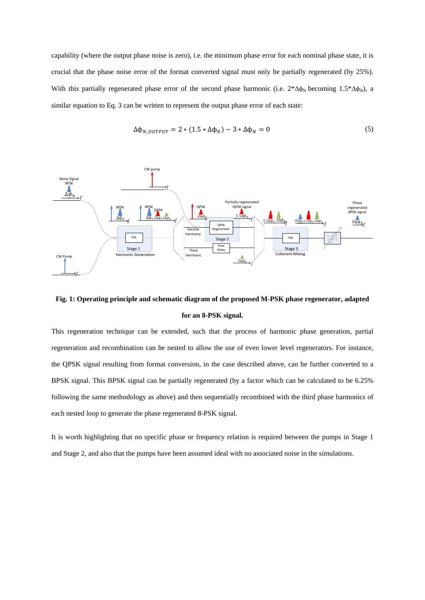capability (where the output phase noise is zero), i.e. the minimum phase error for each nominal phase state, it is crucial that the phase noise error of the format converted signal must only be partially regenerated (by 25%). With this partially regenerated phase error of the second phase harmonic (i.e.  $2*\Delta\phi_N$  becoming 1.5\* $\Delta\phi_N$ ), a similar equation to Eq. 3 can be written to represent the output phase error of each state:

$$
\Delta\phi_{N\_OUTPUT} = 2 * (1.5 * \Delta\phi_N) - 3 * \Delta\phi_N = 0
$$
\n<sup>(5)</sup>



# **Fig. 1: Operating principle and schematic diagram of the proposed M-PSK phase regenerator, adapted for an 8-PSK signal.**

This regeneration technique can be extended, such that the process of harmonic phase generation, partial regeneration and recombination can be nested to allow the use of even lower level regenerators. For instance, the QPSK signal resulting from format conversion, in the case described above, can be further converted to a BPSK signal. This BPSK signal can be partially regenerated (by a factor which can be calculated to be 6.25% following the same methodology as above) and then sequentially recombined with the third phase harmonics of each nested loop to generate the phase regenerated 8-PSK signal.

It is worth highlighting that no specific phase or frequency relation is required between the pumps in Stage 1 and Stage 2, and also that the pumps have been assumed ideal with no associated noise in the simulations.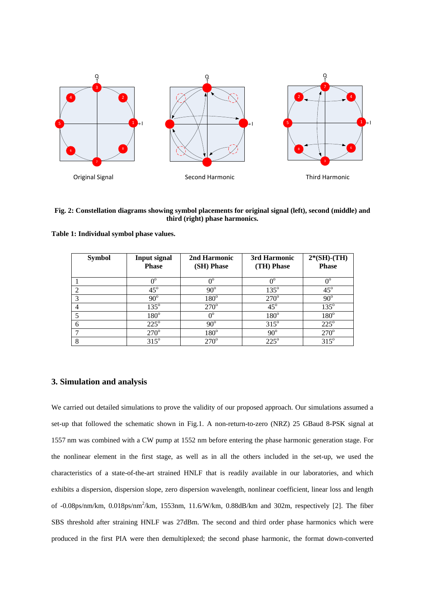

#### **Fig. 2: Constellation diagrams showing symbol placements for original signal (left), second (middle) and third (right) phase harmonics.**

| <b>Symbol</b> | <b>Input signal</b><br><b>Phase</b> | 2nd Harmonic<br>(SH) Phase | 3rd Harmonic<br>(TH) Phase | $2*(SH)-(TH)$<br><b>Phase</b> |
|---------------|-------------------------------------|----------------------------|----------------------------|-------------------------------|
|               | $\Omega^0$                          |                            | $\Omega^0$                 | $0^{\circ}$                   |
|               | $45^\circ$                          | $90^{\circ}$               | $135^\circ$                | $45^\circ$                    |
| 3             | $90^\circ$                          | $180^\circ$                | $270^\circ$                | $90^\circ$                    |
|               | $135^\circ$                         | $270^\circ$                | $45^\circ$                 | $135^\circ$                   |
|               | $180^\circ$                         | $0^{\circ}$                | $180^\circ$                | $180^\circ$                   |
| 6             | $225^\circ$                         | $90^\circ$                 | $315^\circ$                | $225^\circ$                   |
|               | $270^\circ$                         | $180^\circ$                | $90^\circ$                 | $270^\circ$                   |
| 8             | $315^\circ$                         | $270^\circ$                | $225^\circ$                | $315^\circ$                   |

**Table 1: Individual symbol phase values.**

# **3. Simulation and analysis**

We carried out detailed simulations to prove the validity of our proposed approach. Our simulations assumed a set-up that followed the schematic shown in Fig.1. A non-return-to-zero (NRZ) 25 GBaud 8-PSK signal at 1557 nm was combined with a CW pump at 1552 nm before entering the phase harmonic generation stage. For the nonlinear element in the first stage, as well as in all the others included in the set-up, we used the characteristics of a state-of-the-art strained HNLF that is readily available in our laboratories, and which exhibits a dispersion, dispersion slope, zero dispersion wavelength, nonlinear coefficient, linear loss and length of -0.08ps/nm/km, 0.018ps/nm<sup>2</sup>/km, 1553nm, 11.6/W/km, 0.88dB/km and 302m, respectively [2]. The fiber SBS threshold after straining HNLF was 27dBm. The second and third order phase harmonics which were produced in the first PIA were then demultiplexed; the second phase harmonic, the format down-converted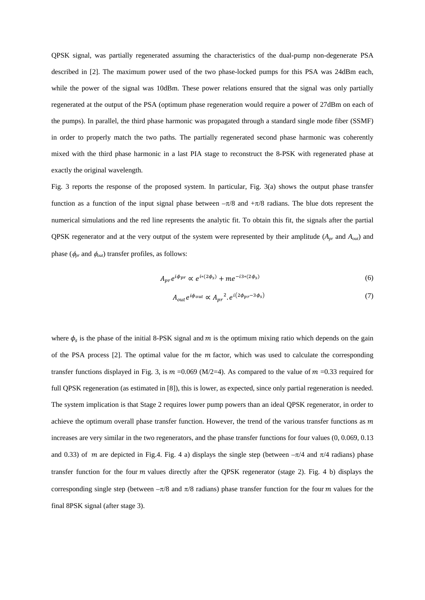QPSK signal, was partially regenerated assuming the characteristics of the dual-pump non-degenerate PSA described in [2]. The maximum power used of the two phase-locked pumps for this PSA was 24dBm each, while the power of the signal was 10dBm. These power relations ensured that the signal was only partially regenerated at the output of the PSA (optimum phase regeneration would require a power of 27dBm on each of the pumps). In parallel, the third phase harmonic was propagated through a standard single mode fiber (SSMF) in order to properly match the two paths. The partially regenerated second phase harmonic was coherently mixed with the third phase harmonic in a last PIA stage to reconstruct the 8-PSK with regenerated phase at exactly the original wavelength.

Fig. 3 reports the response of the proposed system. In particular, Fig. 3(a) shows the output phase transfer function as a function of the input signal phase between  $-\pi/8$  and  $+\pi/8$  radians. The blue dots represent the numerical simulations and the red line represents the analytic fit. To obtain this fit, the signals after the partial QPSK regenerator and at the very output of the system were represented by their amplitude (*Apr* and *Aout*) and phase ( $\phi_{pr}$  and  $\phi_{out}$ ) transfer profiles, as follows:

$$
A_{pr}e^{i\phi_{pr}} \propto e^{i*(2\phi_s)} + me^{-i3*(2\phi_s)}\tag{6}
$$

$$
A_{out}e^{i\phi_{out}} \propto A_{pr}^2 \cdot e^{i(2\phi_{pr}-3\phi_s)}
$$
 (7)

where  $\phi_s$  is the phase of the initial 8-PSK signal and  $m$  is the optimum mixing ratio which depends on the gain of the PSA process  $[2]$ . The optimal value for the  $m$  factor, which was used to calculate the corresponding transfer functions displayed in Fig. 3, is  $m = 0.069$  (M/2=4). As compared to the value of  $m = 0.33$  required for full OPSK regeneration (as estimated in [8]), this is lower, as expected, since only partial regeneration is needed. The system implication is that Stage 2 requires lower pump powers than an ideal QPSK regenerator, in order to achieve the optimum overall phase transfer function. However, the trend of the various transfer functions as  $m$ increases are very similar in the two regenerators, and the phase transfer functions for four values (0, 0.069, 0.13 and 0.33) of m are depicted in Fig.4. Fig. 4 a) displays the single step (between  $-\pi/4$  and  $\pi/4$  radians) phase transfer function for the four  $m$  values directly after the QPSK regenerator (stage 2). Fig. 4 b) displays the corresponding single step (between  $-\pi/8$  and  $\pi/8$  radians) phase transfer function for the four *m* values for the final 8PSK signal (after stage 3).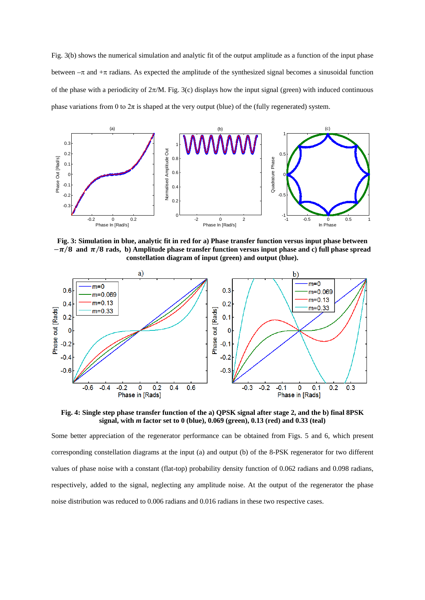Fig. 3(b) shows the numerical simulation and analytic fit of the output amplitude as a function of the input phase between  $-\pi$  and  $+\pi$  radians. As expected the amplitude of the synthesized signal becomes a sinusoidal function of the phase with a periodicity of  $2\pi/M$ . Fig. 3(c) displays how the input signal (green) with induced continuous phase variations from 0 to  $2\pi$  is shaped at the very output (blue) of the (fully regenerated) system.



**Fig. 3: Simulation in blue, analytic fit in red for a) Phase transfer function versus input phase between**   $-\pi/8$  and  $\pi/8$  rads, b) Amplitude phase transfer function versus input phase and c) full phase spread **constellation diagram of input (green) and output (blue).**



**Fig. 4: Single step phase transfer function of the a) QPSK signal after stage 2, and the b) final 8PSK signal, with** *m* **factor set to 0 (blue), 0.069 (green), 0.13 (red) and 0.33 (teal)**

Some better appreciation of the regenerator performance can be obtained from Figs. 5 and 6, which present corresponding constellation diagrams at the input (a) and output (b) of the 8-PSK regenerator for two different values of phase noise with a constant (flat-top) probability density function of 0.062 radians and 0.098 radians, respectively, added to the signal, neglecting any amplitude noise. At the output of the regenerator the phase noise distribution was reduced to 0.006 radians and 0.016 radians in these two respective cases.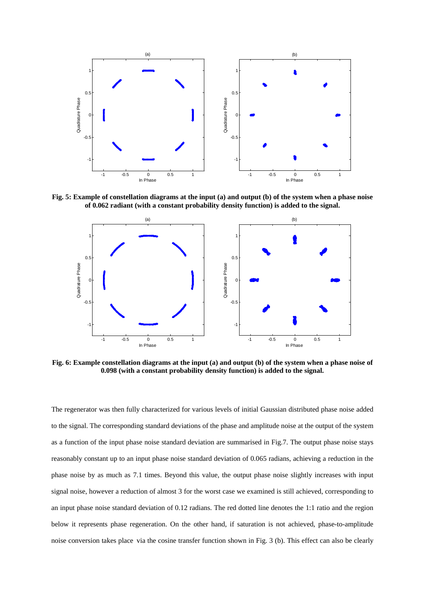

**Fig. 5: Example of constellation diagrams at the input (a) and output (b) of the system when a phase noise of 0.062 radiant (with a constant probability density function) is added to the signal.**



**Fig. 6: Example constellation diagrams at the input (a) and output (b) of the system when a phase noise of 0.098 (with a constant probability density function) is added to the signal.**

The regenerator was then fully characterized for various levels of initial Gaussian distributed phase noise added to the signal. The corresponding standard deviations of the phase and amplitude noise at the output of the system as a function of the input phase noise standard deviation are summarised in Fig.7. The output phase noise stays reasonably constant up to an input phase noise standard deviation of 0.065 radians, achieving a reduction in the phase noise by as much as 7.1 times. Beyond this value, the output phase noise slightly increases with input signal noise, however a reduction of almost 3 for the worst case we examined is still achieved, corresponding to an input phase noise standard deviation of 0.12 radians. The red dotted line denotes the 1:1 ratio and the region below it represents phase regeneration. On the other hand, if saturation is not achieved, phase-to-amplitude noise conversion takes place via the cosine transfer function shown in Fig. 3 (b). This effect can also be clearly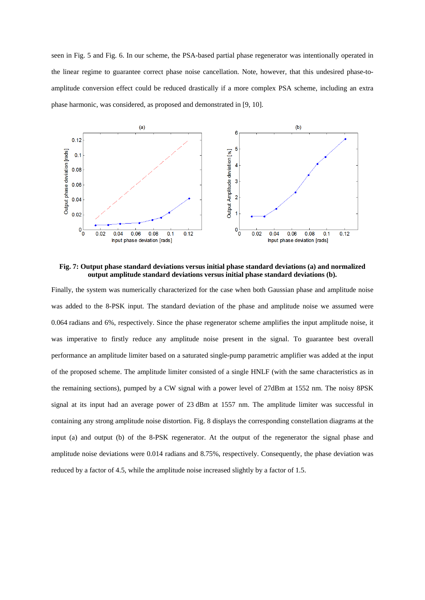seen in Fig. 5 and Fig. 6. In our scheme, the PSA-based partial phase regenerator was intentionally operated in the linear regime to guarantee correct phase noise cancellation. Note, however, that this undesired phase-toamplitude conversion effect could be reduced drastically if a more complex PSA scheme, including an extra phase harmonic, was considered, as proposed and demonstrated in [9, 10].



**Fig. 7: Output phase standard deviations versus initial phase standard deviations (a) and normalized output amplitude standard deviations versus initial phase standard deviations (b).**

Finally, the system was numerically characterized for the case when both Gaussian phase and amplitude noise was added to the 8-PSK input. The standard deviation of the phase and amplitude noise we assumed were 0.064 radians and 6%, respectively. Since the phase regenerator scheme amplifies the input amplitude noise, it was imperative to firstly reduce any amplitude noise present in the signal. To guarantee best overall performance an amplitude limiter based on a saturated single-pump parametric amplifier was added at the input of the proposed scheme. The amplitude limiter consisted of a single HNLF (with the same characteristics as in the remaining sections), pumped by a CW signal with a power level of 27dBm at 1552 nm. The noisy 8PSK signal at its input had an average power of 23 dBm at 1557 nm. The amplitude limiter was successful in containing any strong amplitude noise distortion. Fig. 8 displays the corresponding constellation diagrams at the input (a) and output (b) of the 8-PSK regenerator. At the output of the regenerator the signal phase and amplitude noise deviations were 0.014 radians and 8.75%, respectively. Consequently, the phase deviation was reduced by a factor of 4.5, while the amplitude noise increased slightly by a factor of 1.5.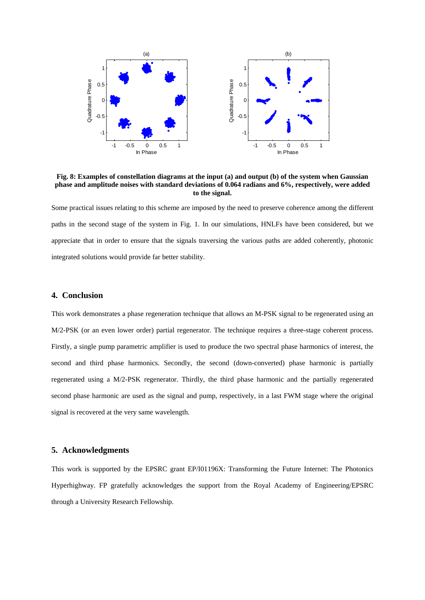

**Fig. 8: Examples of constellation diagrams at the input (a) and output (b) of the system when Gaussian phase and amplitude noises with standard deviations of 0.064 radians and 6%, respectively, were added to the signal.**

Some practical issues relating to this scheme are imposed by the need to preserve coherence among the different paths in the second stage of the system in Fig. 1. In our simulations, HNLFs have been considered, but we appreciate that in order to ensure that the signals traversing the various paths are added coherently, photonic integrated solutions would provide far better stability.

### **4. Conclusion**

This work demonstrates a phase regeneration technique that allows an M-PSK signal to be regenerated using an M/2-PSK (or an even lower order) partial regenerator. The technique requires a three-stage coherent process. Firstly, a single pump parametric amplifier is used to produce the two spectral phase harmonics of interest, the second and third phase harmonics. Secondly, the second (down-converted) phase harmonic is partially regenerated using a M/2-PSK regenerator. Thirdly, the third phase harmonic and the partially regenerated second phase harmonic are used as the signal and pump, respectively, in a last FWM stage where the original signal is recovered at the very same wavelength.

## **5. Acknowledgments**

This work is supported by the EPSRC grant EP/I01196X: Transforming the Future Internet: The Photonics Hyperhighway. FP gratefully acknowledges the support from the Royal Academy of Engineering/EPSRC through a University Research Fellowship.